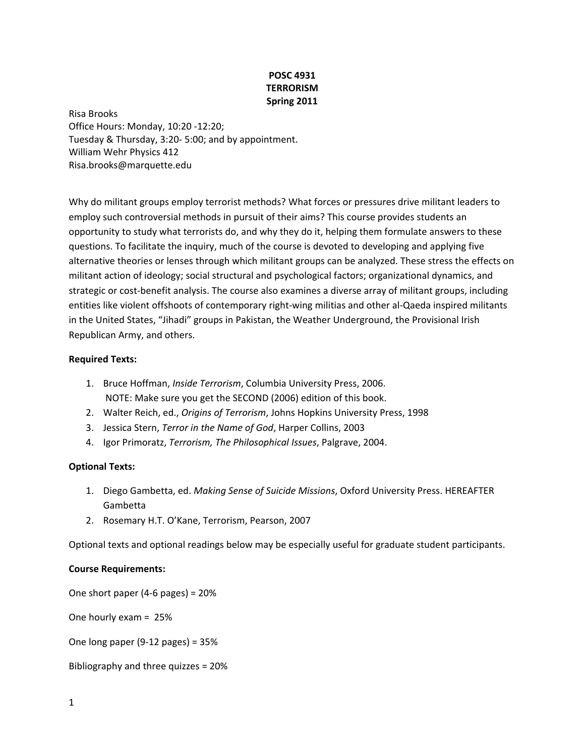# **POSC 4931 TERRORISM Spring 2011**

Risa Brooks Office Hours: Monday, 10:20 ‐12:20; Tuesday & Thursday, 3:20‐ 5:00; and by appointment. William Wehr Physics 412 Risa.brooks@marquette.edu

Why do militant groups employ terrorist methods? What forces or pressures drive militant leaders to employ such controversial methods in pursuit of their aims? This course provides students an opportunity to study what terrorists do, and why they do it, helping them formulate answers to these questions. To facilitate the inquiry, much of the course is devoted to developing and applying five alternative theories or lenses through which militant groups can be analyzed. These stress the effects on militant action of ideology; social structural and psychological factors; organizational dynamics, and strategic or cost-benefit analysis. The course also examines a diverse array of militant groups, including entities like violent offshoots of contemporary right‐wing militias and other al‐Qaeda inspired militants in the United States, "Jihadi" groups in Pakistan, the Weather Underground, the Provisional Irish Republican Army, and others.

## **Required Texts:**

- 1. Bruce Hoffman, *Inside Terrorism*, Columbia University Press, 2006. NOTE: Make sure you get the SECOND (2006) edition of this book.
- 2. Walter Reich, ed., *Origins of Terrorism*, Johns Hopkins University Press, 1998
- 3. Jessica Stern, *Terror in the Name of God*, Harper Collins, 2003
- 4. Igor Primoratz, *Terrorism, The Philosophical Issues*, Palgrave, 2004.

# **Optional Texts:**

- 1. Diego Gambetta, ed. *Making Sense of Suicide Missions*, Oxford University Press. HEREAFTER Gambetta
- 2. Rosemary H.T. O'Kane, Terrorism, Pearson, 2007

Optional texts and optional readings below may be especially useful for graduate student participants.

#### **Course Requirements:**

One short paper (4‐6 pages) = 20%

One hourly exam = 25%

One long paper (9‐12 pages) = 35%

Bibliography and three quizzes = 20%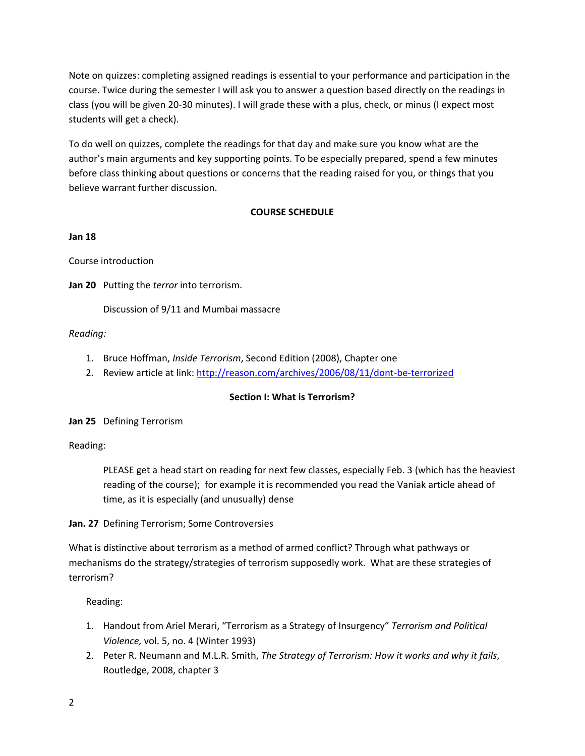Note on quizzes: completing assigned readings is essential to your performance and participation in the course. Twice during the semester I will ask you to answer a question based directly on the readings in class (you will be given 20‐30 minutes). I will grade these with a plus, check, or minus (I expect most students will get a check).

To do well on quizzes, complete the readings for that day and make sure you know what are the author's main arguments and key supporting points. To be especially prepared, spend a few minutes before class thinking about questions or concerns that the reading raised for you, or things that you believe warrant further discussion.

# **COURSE SCHEDULE**

## **Jan 18**

Course introduction

**Jan 20** Putting the *terror* into terrorism.

Discussion of 9/11 and Mumbai massacre

## *Reading:*

- 1. Bruce Hoffman, *Inside Terrorism*, Second Edition (2008), Chapter one
- 2. Review article at link: http://reason.com/archives/2006/08/11/dont-be-terrorized

# **Section I: What is Terrorism?**

**Jan 25** Defining Terrorism

Reading:

PLEASE get a head start on reading for next few classes, especially Feb. 3 (which has the heaviest reading of the course); for example it is recommended you read the Vaniak article ahead of time, as it is especially (and unusually) dense

**Jan. 27** Defining Terrorism; Some Controversies

What is distinctive about terrorism as a method of armed conflict? Through what pathways or mechanisms do the strategy/strategies of terrorism supposedly work. What are these strategies of terrorism?

- 1. Handout from Ariel Merari, "Terrorism as a Strategy of Insurgency" *Terrorism and Political Violence,* vol. 5, no. 4 (Winter 1993)
- 2. Peter R. Neumann and M.L.R. Smith, *The Strategy of Terrorism: How it works and why it fails*, Routledge, 2008, chapter 3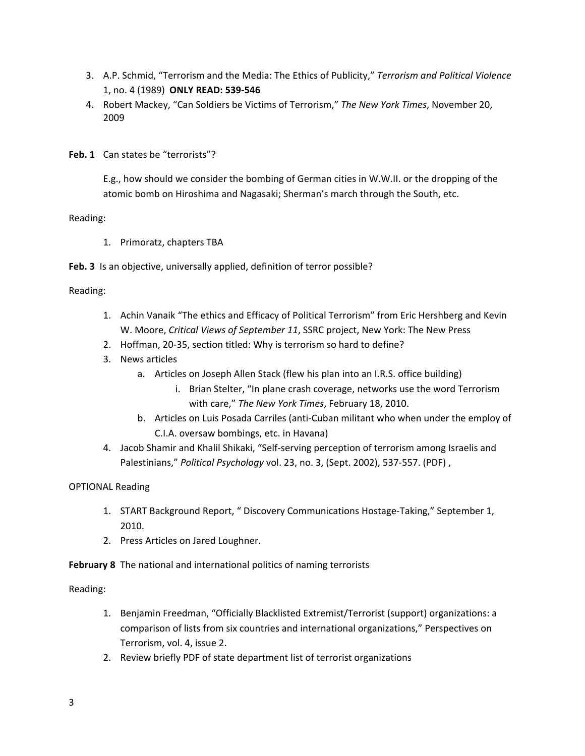- 3. A.P. Schmid, "Terrorism and the Media: The Ethics of Publicity," *Terrorism and Political Violence* 1, no. 4 (1989) **ONLY READ: 539‐546**
- 4. Robert Mackey, "Can Soldiers be Victims of Terrorism," *The New York Times*, November 20, 2009

**Feb. 1** Can states be "terrorists"?

E.g., how should we consider the bombing of German cities in W.W.II. or the dropping of the atomic bomb on Hiroshima and Nagasaki; Sherman's march through the South, etc.

Reading:

1. Primoratz, chapters TBA

**Feb. 3** Is an objective, universally applied, definition of terror possible?

Reading:

- 1. Achin Vanaik "The ethics and Efficacy of Political Terrorism" from Eric Hershberg and Kevin W. Moore, *Critical Views of September 11*, SSRC project, New York: The New Press
- 2. Hoffman, 20‐35, section titled: Why is terrorism so hard to define?
- 3. News articles
	- a. Articles on Joseph Allen Stack (flew his plan into an I.R.S. office building)
		- i. Brian Stelter, "In plane crash coverage, networks use the word Terrorism with care," *The New York Times*, February 18, 2010.
	- b. Articles on Luis Posada Carriles (anti‐Cuban militant who when under the employ of C.I.A. oversaw bombings, etc. in Havana)
- 4. Jacob Shamir and Khalil Shikaki, "Self‐serving perception of terrorism among Israelis and Palestinians," *Political Psychology* vol. 23, no. 3, (Sept. 2002), 537‐557. (PDF) ,

# OPTIONAL Reading

- 1. START Background Report, " Discovery Communications Hostage‐Taking," September 1, 2010.
- 2. Press Articles on Jared Loughner.
- **February 8** The national and international politics of naming terrorists

- 1. Benjamin Freedman, "Officially Blacklisted Extremist/Terrorist (support) organizations: a comparison of lists from six countries and international organizations," Perspectives on Terrorism, vol. 4, issue 2.
- 2. Review briefly PDF of state department list of terrorist organizations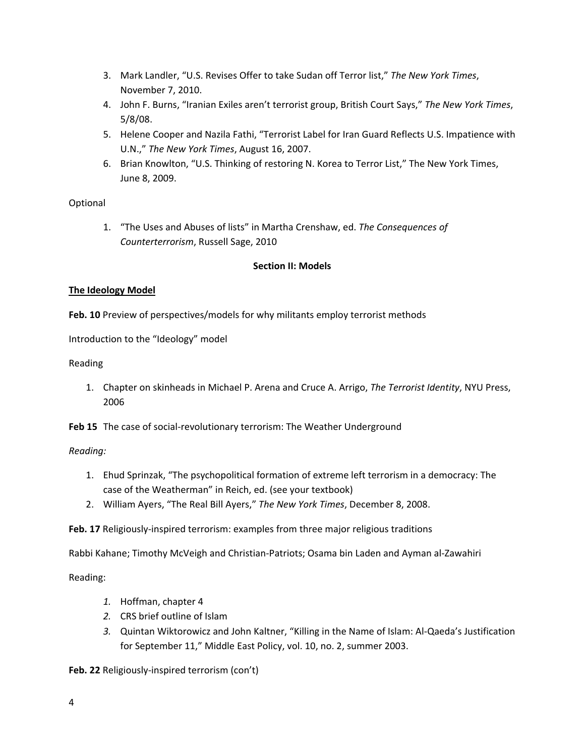- 3. Mark Landler, "U.S. Revises Offer to take Sudan off Terror list," *The New York Times*, November 7, 2010.
- 4. John F. Burns, "Iranian Exiles aren't terrorist group, British Court Says," *The New York Times*, 5/8/08.
- 5. Helene Cooper and Nazila Fathi, "Terrorist Label for Iran Guard Reflects U.S. Impatience with U.N.," *The New York Times*, August 16, 2007.
- 6. Brian Knowlton, "U.S. Thinking of restoring N. Korea to Terror List," The New York Times, June 8, 2009.

# Optional

1. "The Uses and Abuses of lists" in Martha Crenshaw, ed. *The Consequences of Counterterrorism*, Russell Sage, 2010

# **Section II: Models**

# **The Ideology Model**

**Feb. 10** Preview of perspectives/models for why militants employ terrorist methods

Introduction to the "Ideology" model

Reading

1. Chapter on skinheads in Michael P. Arena and Cruce A. Arrigo, *The Terrorist Identity*, NYU Press, 2006

**Feb 15** The case of social‐revolutionary terrorism: The Weather Underground

# *Reading:*

- 1. Ehud Sprinzak, "The psychopolitical formation of extreme left terrorism in a democracy: The case of the Weatherman" in Reich, ed. (see your textbook)
- 2. William Ayers, "The Real Bill Ayers," *The New York Times*, December 8, 2008.

**Feb. 17** Religiously‐inspired terrorism: examples from three major religious traditions

Rabbi Kahane; Timothy McVeigh and Christian‐Patriots; Osama bin Laden and Ayman al‐Zawahiri

Reading:

- *1.* Hoffman, chapter 4
- *2.* CRS brief outline of Islam
- *3.* Quintan Wiktorowicz and John Kaltner, "Killing in the Name of Islam: Al‐Qaeda's Justification for September 11," Middle East Policy, vol. 10, no. 2, summer 2003.

**Feb. 22** Religiously‐inspired terrorism (con't)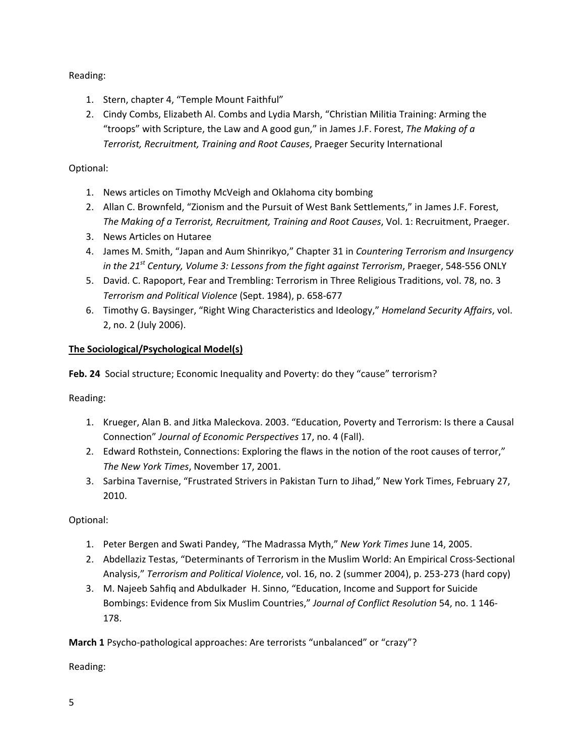Reading:

- 1. Stern, chapter 4, "Temple Mount Faithful"
- 2. Cindy Combs, Elizabeth Al. Combs and Lydia Marsh, "Christian Militia Training: Arming the "troops" with Scripture, the Law and A good gun," in James J.F. Forest, *The Making of a Terrorist, Recruitment, Training and Root Causes*, Praeger Security International

# Optional:

- 1. News articles on Timothy McVeigh and Oklahoma city bombing
- 2. Allan C. Brownfeld, "Zionism and the Pursuit of West Bank Settlements," in James J.F. Forest, *The Making of a Terrorist, Recruitment, Training and Root Causes*, Vol. 1: Recruitment, Praeger.
- 3. News Articles on Hutaree
- 4. James M. Smith, "Japan and Aum Shinrikyo," Chapter 31 in *Countering Terrorism and Insurgency in the 21st Century, Volume 3: Lessons from the fight against Terrorism*, Praeger, 548‐556 ONLY
- 5. David. C. Rapoport, Fear and Trembling: Terrorism in Three Religious Traditions, vol. 78, no. 3 *Terrorism and Political Violence* (Sept. 1984), p. 658‐677
- 6. Timothy G. Baysinger, "Right Wing Characteristics and Ideology," *Homeland Security Affairs*, vol. 2, no. 2 (July 2006).

# **The Sociological/Psychological Model(s)**

**Feb. 24** Social structure; Economic Inequality and Poverty: do they "cause" terrorism?

Reading:

- 1. Krueger, Alan B. and Jitka Maleckova. 2003. "Education, Poverty and Terrorism: Is there a Causal Connection" *Journal of Economic Perspectives* 17, no. 4 (Fall).
- 2. Edward Rothstein, Connections: Exploring the flaws in the notion of the root causes of terror," *The New York Times*, November 17, 2001.
- 3. Sarbina Tavernise, "Frustrated Strivers in Pakistan Turn to Jihad," New York Times, February 27, 2010.

Optional:

- 1. Peter Bergen and Swati Pandey, "The Madrassa Myth," *New York Times* June 14, 2005.
- 2. Abdellaziz Testas, "Determinants of Terrorism in the Muslim World: An Empirical Cross‐Sectional Analysis," *Terrorism and Political Violence*, vol. 16, no. 2 (summer 2004), p. 253‐273 (hard copy)
- 3. M. Najeeb Sahfiq and Abdulkader H. Sinno, "Education, Income and Support for Suicide Bombings: Evidence from Six Muslim Countries," *Journal of Conflict Resolution* 54, no. 1 146‐ 178.

**March 1** Psycho-pathological approaches: Are terrorists "unbalanced" or "crazy"?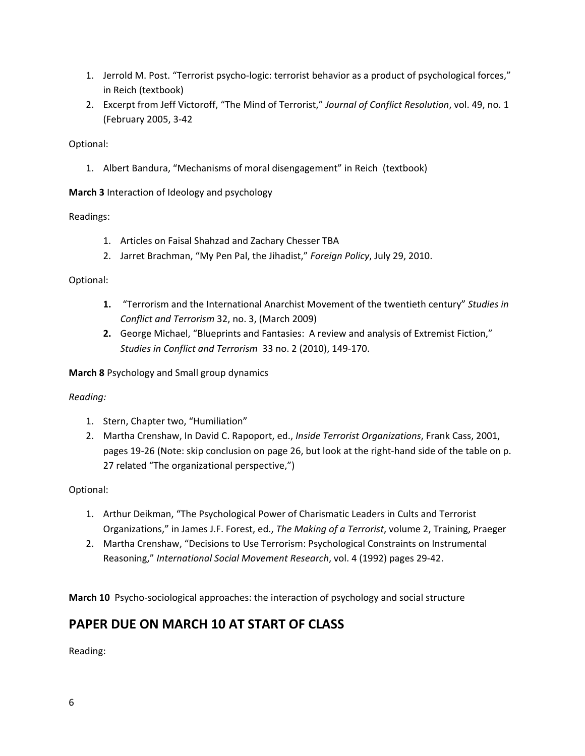- 1. Jerrold M. Post. "Terrorist psycho-logic: terrorist behavior as a product of psychological forces," in Reich (textbook)
- 2. Excerpt from Jeff Victoroff, "The Mind of Terrorist," *Journal of Conflict Resolution*, vol. 49, no. 1 (February 2005, 3‐42

# Optional:

1. Albert Bandura, "Mechanisms of moral disengagement" in Reich (textbook)

**March 3** Interaction of Ideology and psychology

# Readings:

- 1. Articles on Faisal Shahzad and Zachary Chesser TBA
- 2. Jarret Brachman, "My Pen Pal, the Jihadist," *Foreign Policy*, July 29, 2010.

# Optional:

- **1.** "Terrorism and the International Anarchist Movement of the twentieth century" *Studies in Conflict and Terrorism* 32, no. 3, (March 2009)
- **2.** George Michael, "Blueprints and Fantasies: A review and analysis of Extremist Fiction," *Studies in Conflict and Terrorism* 33 no. 2 (2010), 149‐170.

**March 8** Psychology and Small group dynamics

*Reading:*

- 1. Stern, Chapter two, "Humiliation"
- 2. Martha Crenshaw, In David C. Rapoport, ed., *Inside Terrorist Organizations*, Frank Cass, 2001, pages 19‐26 (Note: skip conclusion on page 26, but look at the right‐hand side of the table on p. 27 related "The organizational perspective,")

# Optional:

- 1. Arthur Deikman, "The Psychological Power of Charismatic Leaders in Cults and Terrorist Organizations," in James J.F. Forest, ed., *The Making of a Terrorist*, volume 2, Training, Praeger
- 2. Martha Crenshaw, "Decisions to Use Terrorism: Psychological Constraints on Instrumental Reasoning," *International Social Movement Research*, vol. 4 (1992) pages 29‐42.

**March 10** Psycho‐sociological approaches: the interaction of psychology and social structure

# **PAPER DUE ON MARCH 10 AT START OF CLASS**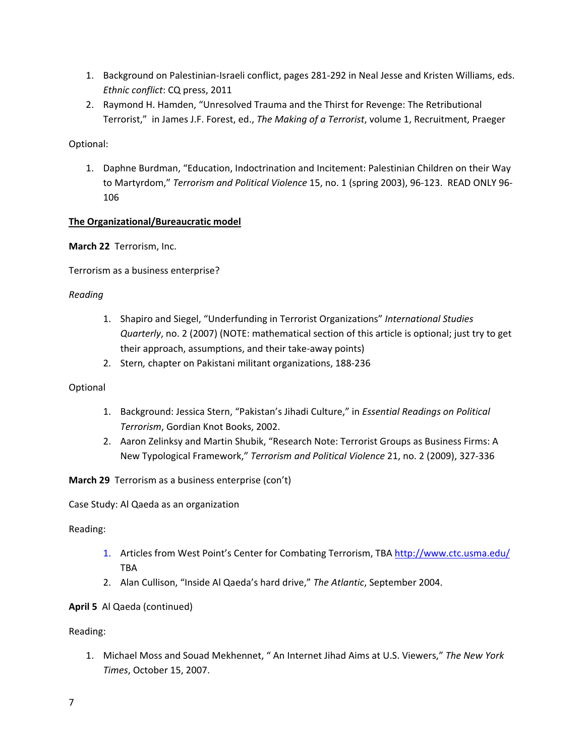- 1. Background on Palestinian‐Israeli conflict, pages 281‐292 in Neal Jesse and Kristen Williams, eds. *Ethnic conflict*: CQ press, 2011
- 2. Raymond H. Hamden, "Unresolved Trauma and the Thirst for Revenge: The Retributional Terrorist," in James J.F. Forest, ed., *The Making of a Terrorist*, volume 1, Recruitment, Praeger

Optional:

1. Daphne Burdman, "Education, Indoctrination and Incitement: Palestinian Children on their Way to Martyrdom," *Terrorism and Political Violence* 15, no. 1 (spring 2003), 96‐123. READ ONLY 96‐ 106

# **The Organizational/Bureaucratic model**

**March 22** Terrorism, Inc.

Terrorism as a business enterprise?

## *Reading*

- 1. Shapiro and Siegel, "Underfunding in Terrorist Organizations" *International Studies Quarterly*, no. 2 (2007) (NOTE: mathematical section of this article is optional; just try to get their approach, assumptions, and their take‐away points)
- 2. Stern*,* chapter on Pakistani militant organizations, 188‐236

# Optional

- 1. Background: Jessica Stern, "Pakistan's Jihadi Culture," in *Essential Readings on Political Terrorism*, Gordian Knot Books, 2002.
- 2. Aaron Zelinksy and Martin Shubik, "Research Note: Terrorist Groups as Business Firms: A New Typological Framework," *Terrorism and Political Violence* 21, no. 2 (2009), 327‐336

**March 29** Terrorism as a business enterprise (con't)

Case Study: Al Qaeda as an organization

Reading:

- 1. Articles from West Point's Center for Combating Terrorism, TBA http://www.ctc.usma.edu/ TBA
- 2. Alan Cullison, "Inside Al Qaeda's hard drive," *The Atlantic*, September 2004.

# **April 5** Al Qaeda (continued)

Reading:

1. Michael Moss and Souad Mekhennet, " An Internet Jihad Aims at U.S. Viewers," *The New York Times*, October 15, 2007.